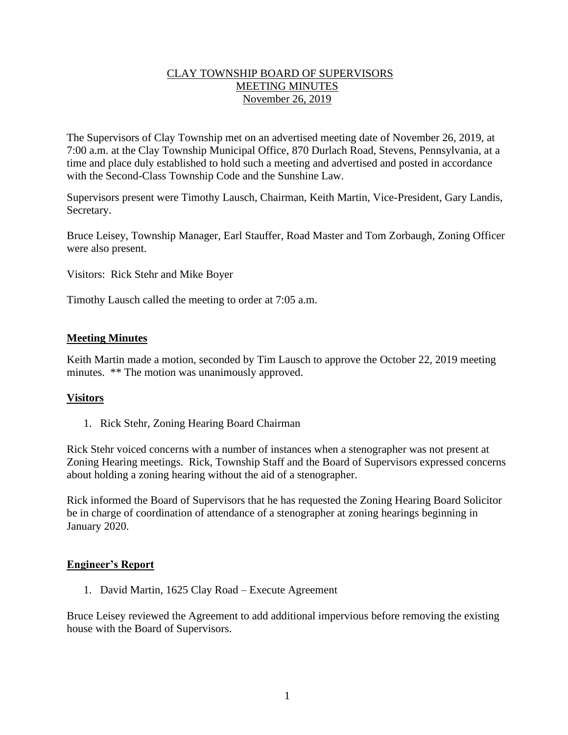# CLAY TOWNSHIP BOARD OF SUPERVISORS MEETING MINUTES November 26, 2019

The Supervisors of Clay Township met on an advertised meeting date of November 26, 2019, at 7:00 a.m. at the Clay Township Municipal Office, 870 Durlach Road, Stevens, Pennsylvania, at a time and place duly established to hold such a meeting and advertised and posted in accordance with the Second-Class Township Code and the Sunshine Law.

Supervisors present were Timothy Lausch, Chairman, Keith Martin, Vice-President, Gary Landis, Secretary.

Bruce Leisey, Township Manager, Earl Stauffer, Road Master and Tom Zorbaugh, Zoning Officer were also present.

Visitors: Rick Stehr and Mike Boyer

Timothy Lausch called the meeting to order at 7:05 a.m.

# **Meeting Minutes**

Keith Martin made a motion, seconded by Tim Lausch to approve the October 22, 2019 meeting minutes. \*\* The motion was unanimously approved.

### **Visitors**

1. Rick Stehr, Zoning Hearing Board Chairman

Rick Stehr voiced concerns with a number of instances when a stenographer was not present at Zoning Hearing meetings. Rick, Township Staff and the Board of Supervisors expressed concerns about holding a zoning hearing without the aid of a stenographer.

Rick informed the Board of Supervisors that he has requested the Zoning Hearing Board Solicitor be in charge of coordination of attendance of a stenographer at zoning hearings beginning in January 2020.

### **Engineer's Report**

1. David Martin, 1625 Clay Road – Execute Agreement

Bruce Leisey reviewed the Agreement to add additional impervious before removing the existing house with the Board of Supervisors.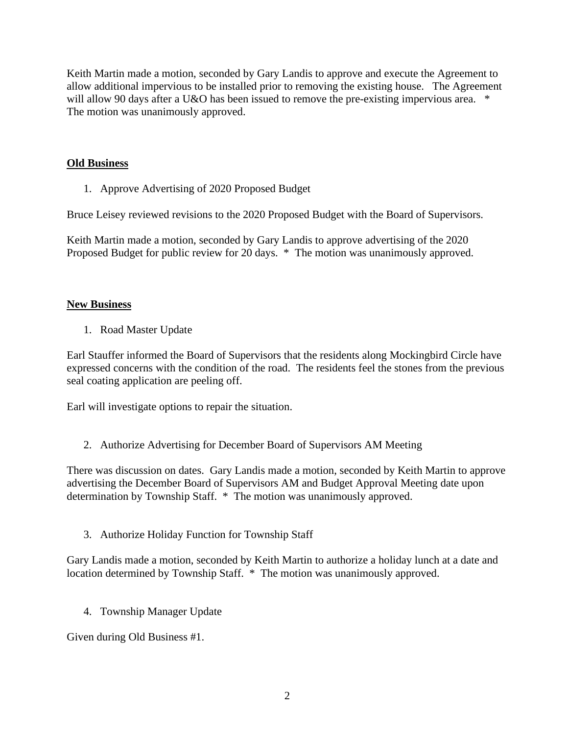Keith Martin made a motion, seconded by Gary Landis to approve and execute the Agreement to allow additional impervious to be installed prior to removing the existing house. The Agreement will allow 90 days after a U&O has been issued to remove the pre-existing impervious area.  $*$ The motion was unanimously approved.

# **Old Business**

1. Approve Advertising of 2020 Proposed Budget

Bruce Leisey reviewed revisions to the 2020 Proposed Budget with the Board of Supervisors.

Keith Martin made a motion, seconded by Gary Landis to approve advertising of the 2020 Proposed Budget for public review for 20 days. \* The motion was unanimously approved.

# **New Business**

1. Road Master Update

Earl Stauffer informed the Board of Supervisors that the residents along Mockingbird Circle have expressed concerns with the condition of the road. The residents feel the stones from the previous seal coating application are peeling off.

Earl will investigate options to repair the situation.

2. Authorize Advertising for December Board of Supervisors AM Meeting

There was discussion on dates. Gary Landis made a motion, seconded by Keith Martin to approve advertising the December Board of Supervisors AM and Budget Approval Meeting date upon determination by Township Staff. \* The motion was unanimously approved.

3. Authorize Holiday Function for Township Staff

Gary Landis made a motion, seconded by Keith Martin to authorize a holiday lunch at a date and location determined by Township Staff. \* The motion was unanimously approved.

4. Township Manager Update

Given during Old Business #1.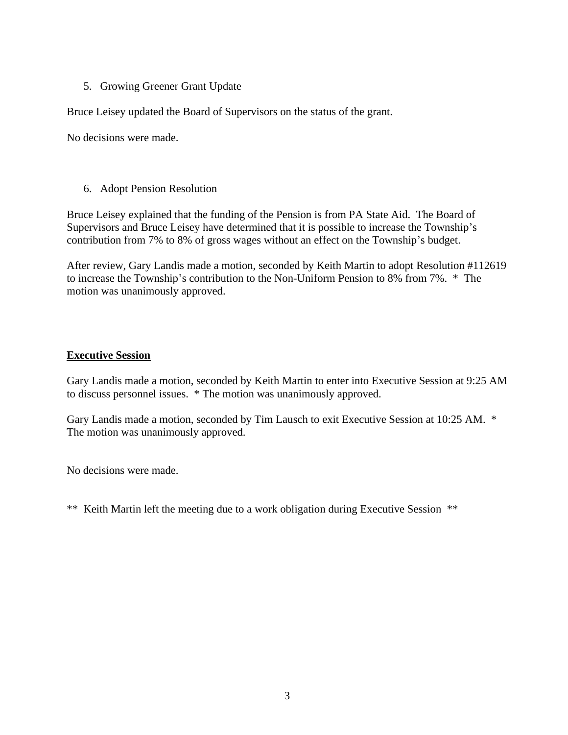# 5. Growing Greener Grant Update

Bruce Leisey updated the Board of Supervisors on the status of the grant.

No decisions were made.

# 6. Adopt Pension Resolution

Bruce Leisey explained that the funding of the Pension is from PA State Aid. The Board of Supervisors and Bruce Leisey have determined that it is possible to increase the Township's contribution from 7% to 8% of gross wages without an effect on the Township's budget.

After review, Gary Landis made a motion, seconded by Keith Martin to adopt Resolution #112619 to increase the Township's contribution to the Non-Uniform Pension to 8% from 7%. \* The motion was unanimously approved.

# **Executive Session**

Gary Landis made a motion, seconded by Keith Martin to enter into Executive Session at 9:25 AM to discuss personnel issues. \* The motion was unanimously approved.

Gary Landis made a motion, seconded by Tim Lausch to exit Executive Session at 10:25 AM. \* The motion was unanimously approved.

No decisions were made.

\*\* Keith Martin left the meeting due to a work obligation during Executive Session \*\*